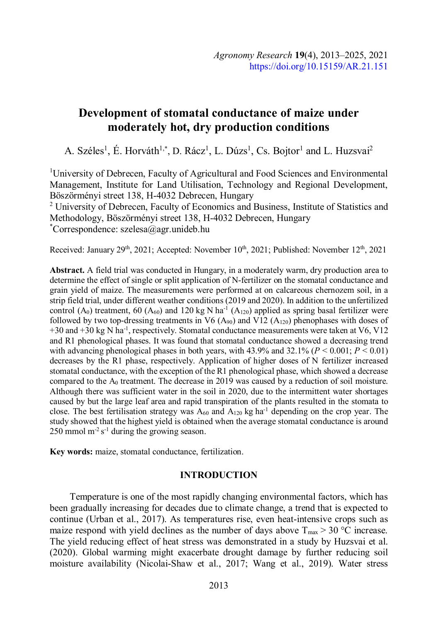# **Development of stomatal conductance of maize under moderately hot, dry production conditions**

A. Széles<sup>1</sup>, É. Horváth<sup>1,\*</sup>, D. Rácz<sup>1</sup>, L. Dúzs<sup>1</sup>, Cs. Bojtor<sup>1</sup> and L. Huzsvai<sup>2</sup>

<sup>1</sup>University of Debrecen, Faculty of Agricultural and Food Sciences and Environmental Management, Institute for Land Utilisation, Technology and Regional Development, Böszörményi street 138, H-4032 Debrecen, Hungary

<sup>2</sup> University of Debrecen, Faculty of Economics and Business, Institute of Statistics and Methodology, Böszörményi street 138, H-4032 Debrecen, Hungary \*Correspondence: szelesa@agr.unideb.hu

Received: January 29<sup>th</sup>, 2021; Accepted: November 10<sup>th</sup>, 2021; Published: November 12<sup>th</sup>, 2021

**Abstract.** A field trial was conducted in Hungary, in a moderately warm, dry production area to determine the effect of single or split application of N-fertilizer on the stomatal conductance and grain yield of maize. The measurements were performed at on calcareous chernozem soil, in a strip field trial, under different weather conditions (2019 and 2020). In addition to the unfertilized control (A<sub>0</sub>) treatment, 60 (A<sub>60</sub>) and 120 kg N ha<sup>-1</sup> (A<sub>120</sub>) applied as spring basal fertilizer were followed by two top-dressing treatments in V6  $(A_{90})$  and V12  $(A_{120})$  phenophases with doses of  $+30$  and  $+30$  kg N ha<sup>-1</sup>, respectively. Stomatal conductance measurements were taken at V6, V12 and R1 phenological phases. It was found that stomatal conductance showed a decreasing trend with advancing phenological phases in both years, with  $43.9\%$  and  $32.1\%$  ( $P \le 0.001$ ;  $P \le 0.01$ ) decreases by the R1 phase, respectively. Application of higher doses of N fertilizer increased stomatal conductance, with the exception of the R1 phenological phase, which showed a decrease compared to the  $A_0$  treatment. The decrease in 2019 was caused by a reduction of soil moisture. Although there was sufficient water in the soil in 2020, due to the intermittent water shortages caused by but the large leaf area and rapid transpiration of the plants resulted in the stomata to close. The best fertilisation strategy was  $A_{60}$  and  $A_{120}$  kg ha<sup>-1</sup> depending on the crop year. The study showed that the highest yield is obtained when the average stomatal conductance is around 250 mmol  $m^{-2} s^{-1}$  during the growing season.

**Key words:** maize, stomatal conductance, fertilization.

### **INTRODUCTION**

Temperature is one of the most rapidly changing environmental factors, which has been gradually increasing for decades due to climate change, a trend that is expected to continue (Urban et al., 2017). As temperatures rise, even heat-intensive crops such as maize respond with yield declines as the number of days above  $T_{\text{max}} > 30 \text{ °C}$  increase. The yield reducing effect of heat stress was demonstrated in a study by Huzsvai et al. (2020). Global warming might exacerbate drought damage by further reducing soil moisture availability (Nicolai-Shaw et al., 2017; Wang et al., 2019). Water stress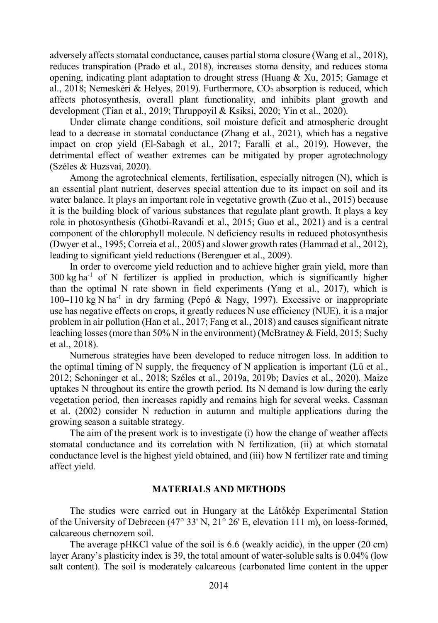adversely affects stomatal conductance, causes partial stoma closure (Wang et al., 2018), reduces transpiration (Prado et al., 2018), increases stoma density, and reduces stoma opening, indicating plant adaptation to drought stress (Huang  $\&$  Xu, 2015; Gamage et al., 2018; Nemeskéri & Helyes, 2019). Furthermore,  $CO<sub>2</sub>$  absorption is reduced, which affects photosynthesis, overall plant functionality, and inhibits plant growth and development (Tian et al., 2019; Thruppoyil & Ksiksi, 2020; Yin et al., 2020).

Under climate change conditions, soil moisture deficit and atmospheric drought lead to a decrease in stomatal conductance (Zhang et al., 2021), which has a negative impact on crop yield (El-Sabagh et al., 2017; Faralli et al., 2019). However, the detrimental effect of weather extremes can be mitigated by proper agrotechnology (Széles & Huzsvai, 2020).

Among the agrotechnical elements, fertilisation, especially nitrogen (N), which is an essential plant nutrient, deserves special attention due to its impact on soil and its water balance. It plays an important role in vegetative growth (Zuo et al., 2015) because it is the building block of various substances that regulate plant growth. It plays a key role in photosynthesis (Ghotbi-Ravandi et al., 2015; Guo et al., 2021) and is a central component of the chlorophyll molecule. N deficiency results in reduced photosynthesis (Dwyer et al., 1995; Correia et al., 2005) and slower growth rates (Hammad et al., 2012), leading to significant yield reductions (Berenguer et al., 2009).

In order to overcome yield reduction and to achieve higher grain yield, more than  $300 \text{ kg ha}^{-1}$  of N fertilizer is applied in production, which is significantly higher than the optimal N rate shown in field experiments (Yang et al., 2017), which is  $100-110$  kg N ha<sup>-1</sup> in dry farming (Pepó & Nagy, 1997). Excessive or inappropriate use has negative effects on crops, it greatly reduces N use efficiency (NUE), it is a major problem in air pollution (Han et al., 2017; Fang et al., 2018) and causes significant nitrate leaching losses (more than 50% N in the environment) (McBratney & Field, 2015; Suchy et al., 2018).

Numerous strategies have been developed to reduce nitrogen loss. In addition to the optimal timing of N supply, the frequency of N application is important (Lü et al., 2012; Schoninger et al., 2018; Széles et al., 2019a, 2019b; Davies et al., 2020). Maize uptakes N throughout its entire the growth period. Its N demand is low during the early vegetation period, then increases rapidly and remains high for several weeks. Cassman et al. (2002) consider N reduction in autumn and multiple applications during the growing season a suitable strategy.

The aim of the present work is to investigate (i) how the change of weather affects stomatal conductance and its correlation with N fertilization, (ii) at which stomatal conductance level is the highest yield obtained, and (iii) how N fertilizer rate and timing affect yield.

# **MATERIALS AND METHODS**

The studies were carried out in Hungary at the Látókép Experimental Station of the University of Debrecen (47° 33' N, 21° 26' E, elevation 111 m), on loess-formed, calcareous chernozem soil.

The average pHKCl value of the soil is 6.6 (weakly acidic), in the upper (20 cm) layer Arany's plasticity index is 39, the total amount of water-soluble salts is 0.04% (low salt content). The soil is moderately calcareous (carbonated lime content in the upper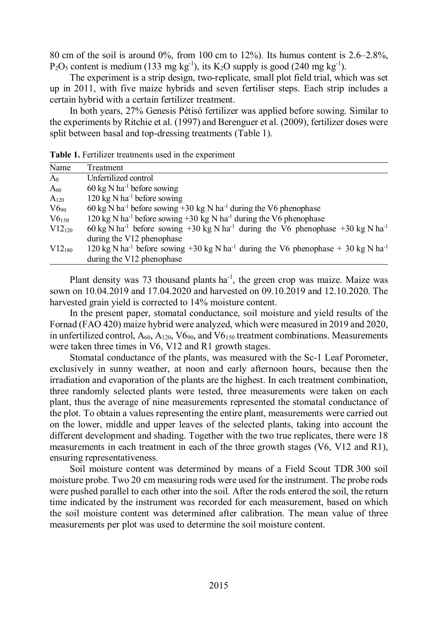80 cm of the soil is around  $0\%$ , from 100 cm to 12%). Its humus content is 2.6–2.8%,  $P_2O_5$  content is medium (133 mg kg<sup>-1</sup>), its K<sub>2</sub>O supply is good (240 mg kg<sup>-1</sup>).

The experiment is a strip design, two-replicate, small plot field trial, which was set up in 2011, with five maize hybrids and seven fertiliser steps. Each strip includes a certain hybrid with a certain fertilizer treatment.

In both years, 27% Genesis Pétisó fertilizer was applied before sowing. Similar to the experiments by Ritchie et al. (1997) and Berenguer et al. (2009), fertilizer doses were split between basal and top-dressing treatments (Table 1).

| Name           | Treatment                                                                                                                                          |
|----------------|----------------------------------------------------------------------------------------------------------------------------------------------------|
| A <sub>0</sub> | Unfertilized control                                                                                                                               |
| $A_{60}$       | 60 kg N ha <sup>-1</sup> before sowing                                                                                                             |
| $A_{120}$      | 120 kg N ha <sup>-1</sup> before sowing                                                                                                            |
| $V6_{90}$      | 60 kg N ha <sup>-1</sup> before sowing +30 kg N ha <sup>-1</sup> during the V6 phenophase                                                          |
| $V6_{150}$     | 120 kg N ha <sup>-1</sup> before sowing $+30$ kg N ha <sup>-1</sup> during the V6 phenophase                                                       |
| $V12_{120}$    | 60 kg N ha <sup>-1</sup> before sowing +30 kg N ha <sup>-1</sup> during the V6 phenophase +30 kg N ha <sup>-1</sup><br>during the V12 phenophase   |
| $V12_{180}$    | 120 kg N ha <sup>-1</sup> before sowing +30 kg N ha <sup>-1</sup> during the V6 phenophase + 30 kg N ha <sup>-1</sup><br>during the V12 phenophase |

**Table 1.** Fertilizer treatments used in the experiment

Plant density was 73 thousand plants  $ha^{-1}$ , the green crop was maize. Maize was sown on 10.04.2019 and 17.04.2020 and harvested on 09.10.2019 and 12.10.2020. The harvested grain yield is corrected to 14% moisture content.

In the present paper, stomatal conductance, soil moisture and yield results of the Fornad (FAO 420) maize hybrid were analyzed, which were measured in 2019 and 2020, in unfertilized control,  $A_{60}$ ,  $A_{120}$ ,  $V6_{90}$ , and  $V6_{150}$  treatment combinations. Measurements were taken three times in V6, V12 and R1 growth stages.

Stomatal conductance of the plants, was measured with the Sc-1 Leaf Porometer, exclusively in sunny weather, at noon and early afternoon hours, because then the irradiation and evaporation of the plants are the highest. In each treatment combination, three randomly selected plants were tested, three measurements were taken on each plant, thus the average of nine measurements represented the stomatal conductance of the plot. To obtain a values representing the entire plant, measurements were carried out on the lower, middle and upper leaves of the selected plants, taking into account the different development and shading. Together with the two true replicates, there were 18 measurements in each treatment in each of the three growth stages (V6, V12 and R1), ensuring representativeness.

Soil moisture content was determined by means of a Field Scout TDR 300 soil moisture probe. Two 20 cm measuring rods were used for the instrument. The probe rods were pushed parallel to each other into the soil. After the rods entered the soil, the return time indicated by the instrument was recorded for each measurement, based on which the soil moisture content was determined after calibration. The mean value of three measurements per plot was used to determine the soil moisture content.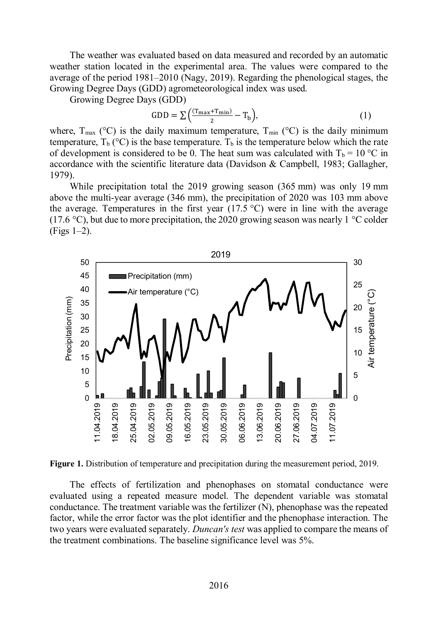The weather was evaluated based on data measured and recorded by an automatic weather station located in the experimental area. The values were compared to the average of the period 1981–2010 (Nagy, 2019). Regarding the phenological stages, the Growing Degree Days (GDD) agrometeorological index was used.

Growing Degree Days (GDD)

$$
GDD = \sum \left( \frac{(T_{\text{max}} + T_{\text{min}})}{2} - T_b \right),\tag{1}
$$

where,  $T_{\text{max}}$  (°C) is the daily maximum temperature,  $T_{\text{min}}$  (°C) is the daily minimum temperature,  $T_b$  (°C) is the base temperature.  $T_b$  is the temperature below which the rate of development is considered to be 0. The heat sum was calculated with  $T_b = 10 \degree C$  in accordance with the scientific literature data (Davidson & Campbell, 1983; Gallagher, 1979).

While precipitation total the 2019 growing season (365 mm) was only 19 mm above the multi-year average (346 mm), the precipitation of 2020 was 103 mm above the average. Temperatures in the first year  $(17.5 \degree C)$  were in line with the average (17.6 °C), but due to more precipitation, the 2020 growing season was nearly 1 °C colder (Figs 1–2).



**Figure 1.** Distribution of temperature and precipitation during the measurement period, 2019.

The effects of fertilization and phenophases on stomatal conductance were evaluated using a repeated measure model. The dependent variable was stomatal conductance. The treatment variable was the fertilizer (N), phenophase was the repeated factor, while the error factor was the plot identifier and the phenophase interaction. The two years were evaluated separately. *Duncan's test* was applied to compare the means of the treatment combinations. The baseline significance level was 5%.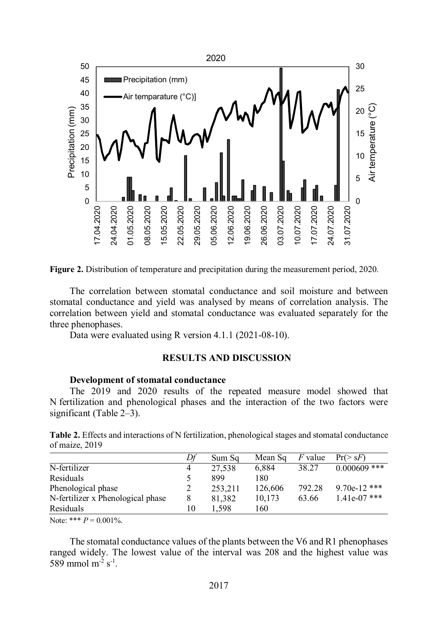

**Figure 2.** Distribution of temperature and precipitation during the measurement period, 2020.

The correlation between stomatal conductance and soil moisture and between stomatal conductance and yield was analysed by means of correlation analysis. The correlation between yield and stomatal conductance was evaluated separately for the three phenophases.

Data were evaluated using R version 4.1.1 (2021-08-10).

# **RESULTS AND DISCUSSION**

### **Development of stomatal conductance**

The 2019 and 2020 results of the repeated measure model showed that N fertilization and phenological phases and the interaction of the two factors were significant (Table 2–3).

**Table 2.** Effects and interactions of N fertilization, phenological stages and stomatal conductance of maize, 2019

|                                   |    | Sum Sq  | Mean Sq | $F$ value | Pr(> sF)       |
|-----------------------------------|----|---------|---------|-----------|----------------|
| N-fertilizer                      | 4  | 27.538  | 6,884   | 38.27     | $0.000609$ *** |
| Residuals                         |    | 899     | 180     |           |                |
| Phenological phase                |    | 253,211 | 126,606 | 792.28    | $9.70e-12$ *** |
| N-fertilizer x Phenological phase |    | 81,382  | 10,173  | 63.66     | $1.41e-07$ *** |
| Residuals                         | 10 | 1.598   | 160     |           |                |
|                                   |    |         |         |           |                |

Note: \*\*\*  $P = 0.001\%$ .

The stomatal conductance values of the plants between the V6 and R1 phenophases ranged widely. The lowest value of the interval was 208 and the highest value was 589 mmol m<sup>-2</sup> s<sup>-1</sup>.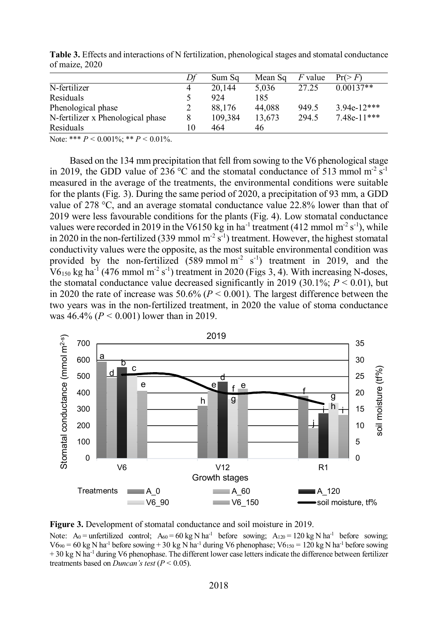|                                   |    | Sum Sa  | Mean Sq | <i>F</i> value | Pr(>F)        |
|-----------------------------------|----|---------|---------|----------------|---------------|
| N-fertilizer                      | 4  | 20,144  | 5,036   | 27.25          | $0.00137**$   |
| <b>Residuals</b>                  |    | 924     | 185     |                |               |
| Phenological phase                |    | 88,176  | 44,088  | 949.5          | $3.94e-12***$ |
| N-fertilizer x Phenological phase |    | 109.384 | 13.673  | 294.5          | $7.48e-11***$ |
| Residuals                         | 10 | 464     | 46      |                |               |

**Table 3.** Effects and interactions of N fertilization, phenological stages and stomatal conductance of maize, 2020

Note: \*\*\*  $P < 0.001\%$ ; \*\*  $P < 0.01\%$ .

Based on the 134 mm precipitation that fell from sowing to the V6 phenological stage in 2019, the GDD value of 236 °C and the stomatal conductance of 513 mmol  $m^2 s^{-1}$ measured in the average of the treatments, the environmental conditions were suitable for the plants (Fig. 3). During the same period of 2020, a precipitation of 93 mm, a GDD value of 278 °C, and an average stomatal conductance value 22.8% lower than that of 2019 were less favourable conditions for the plants (Fig. 4). Low stomatal conductance values were recorded in 2019 in the V6150 kg in ha<sup>-1</sup> treatment (412 mmol m<sup>-2</sup> s<sup>-1</sup>), while in 2020 in the non-fertilized (339 mmol  $m^2 s^{-1}$ ) treatment. However, the highest stomatal conductivity values were the opposite, as the most suitable environmental condition was provided by the non-fertilized  $(589 \text{ mmol m}^2 \text{ s}^1)$  treatment in 2019, and the  $V6_{150}$  kg ha<sup>-1</sup> (476 mmol m<sup>-2</sup> s<sup>-1</sup>) treatment in 2020 (Figs 3, 4). With increasing N-doses, the stomatal conductance value decreased significantly in 2019 (30.1%;  $P < 0.01$ ), but in 2020 the rate of increase was  $50.6\%$  ( $P < 0.001$ ). The largest difference between the two years was in the non-fertilized treatment, in 2020 the value of stoma conductance was 46.4% (*P <* 0.001) lower than in 2019.



**Figure 3.** Development of stomatal conductance and soil moisture in 2019.

Note:  $A_0$  = unfertilized control;  $A_{60}$  = 60 kg N ha<sup>-1</sup> before sowing;  $A_{120}$  = 120 kg N ha<sup>-1</sup> before sowing;  $V6_{90} = 60$  kg N ha<sup>-1</sup> before sowing + 30 kg N ha<sup>-1</sup> during V6 phenophase; V6<sub>150</sub> = 120 kg N ha<sup>-1</sup> before sowing + 30 kg N ha-1 during V6 phenophase. The different lower case letters indicate the difference between fertilizer treatments based on *Duncan's test* ( $P < 0.05$ ).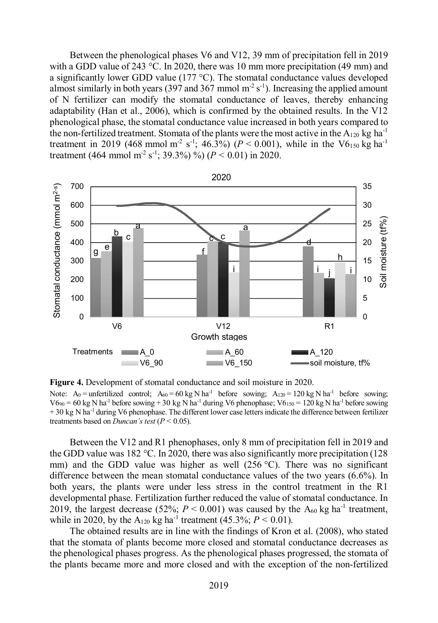Between the phenological phases V6 and V12, 39 mm of precipitation fell in 2019 with a GDD value of 243 °C. In 2020, there was 10 mm more precipitation (49 mm) and a significantly lower GDD value  $(177 \degree C)$ . The stomatal conductance values developed almost similarly in both years (397 and 367 mmol  $m^2 s^{-1}$ ). Increasing the applied amount of N fertilizer can modify the stomatal conductance of leaves, thereby enhancing adaptability (Han et al., 2006), which is confirmed by the obtained results. In the V12 phenological phase, the stomatal conductance value increased in both years compared to the non-fertilized treatment. Stomata of the plants were the most active in the  $A_{120}$  kg ha<sup>-1</sup> treatment in 2019 (468 mmol m<sup>-2</sup> s<sup>-1</sup>; 46.3%) ( $P < 0.001$ ), while in the V6<sub>150</sub> kg ha<sup>-1</sup> treatment (464 mmol m<sup>-2</sup> s<sup>-1</sup>; 39.3%) %) ( $P < 0.01$ ) in 2020.



**Figure 4.** Development of stomatal conductance and soil moisture in 2020.

Note:  $A_0$  = unfertilized control;  $A_{60}$  = 60 kg N ha<sup>-1</sup> before sowing;  $A_{120}$  = 120 kg N ha<sup>-1</sup> before sowing;  $V690 = 60$  kg N ha<sup>-1</sup> before sowing + 30 kg N ha<sup>-1</sup> during V6 phenophase; V6<sub>150</sub> = 120 kg N ha<sup>-1</sup> before sowing  $+30 \text{ kg N}$  ha<sup>-1</sup> during V6 phenophase. The different lower case letters indicate the difference between fertilizer treatments based on *Duncan's test* ( $P < 0.05$ ).

Between the V12 and R1 phenophases, only 8 mm of precipitation fell in 2019 and the GDD value was 182 °C. In 2020, there was also significantly more precipitation (128) mm) and the GDD value was higher as well  $(256 \degree C)$ . There was no significant difference between the mean stomatal conductance values of the two years (6.6%). In both years, the plants were under less stress in the control treatment in the R1 developmental phase. Fertilization further reduced the value of stomatal conductance. In 2019, the largest decrease (52%;  $P < 0.001$ ) was caused by the A<sub>60</sub> kg ha<sup>-1</sup> treatment, while in 2020, by the A<sub>120</sub> kg ha<sup>-1</sup> treatment (45.3%;  $P < 0.01$ ).

The obtained results are in line with the findings of Kron et al. (2008), who stated that the stomata of plants become more closed and stomatal conductance decreases as the phenological phases progress. As the phenological phases progressed, the stomata of the plants became more and more closed and with the exception of the non-fertilized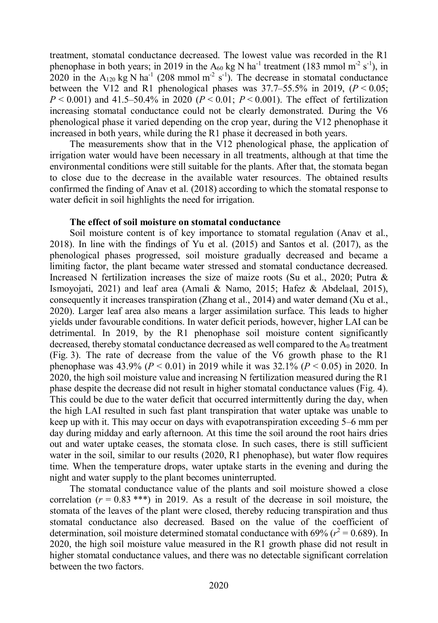treatment, stomatal conductance decreased. The lowest value was recorded in the R1 phenophase in both years; in 2019 in the A<sub>60</sub> kg N ha<sup>-1</sup> treatment (183 mmol m<sup>-2</sup> s<sup>-1</sup>), in 2020 in the A<sub>120</sub> kg N ha<sup>-1</sup> (208 mmol m<sup>-2</sup> s<sup>-1</sup>). The decrease in stomatal conductance between the V12 and R1 phenological phases was  $37.7-55.5\%$  in 2019, ( $P < 0.05$ ;  $P < 0.001$ ) and 41.5–50.4% in 2020 ( $P < 0.01$ ;  $P < 0.001$ ). The effect of fertilization increasing stomatal conductance could not be clearly demonstrated. During the V6 phenological phase it varied depending on the crop year, during the V12 phenophase it increased in both years, while during the R1 phase it decreased in both years.

The measurements show that in the V12 phenological phase, the application of irrigation water would have been necessary in all treatments, although at that time the environmental conditions were still suitable for the plants. After that, the stomata began to close due to the decrease in the available water resources. The obtained results confirmed the finding of Anav et al. (2018) according to which the stomatal response to water deficit in soil highlights the need for irrigation.

### **The effect of soil moisture on stomatal conductance**

Soil moisture content is of key importance to stomatal regulation (Anav et al., 2018). In line with the findings of Yu et al. (2015) and Santos et al. (2017), as the phenological phases progressed, soil moisture gradually decreased and became a limiting factor, the plant became water stressed and stomatal conductance decreased. Increased N fertilization increases the size of maize roots (Su et al., 2020; Putra & Ismoyojati, 2021) and leaf area (Amali & Namo, 2015; Hafez & Abdelaal, 2015), consequently it increases transpiration (Zhang et al., 2014) and water demand (Xu et al., 2020). Larger leaf area also means a larger assimilation surface. This leads to higher yields under favourable conditions. In water deficit periods, however, higher LAI can be detrimental. In 2019, by the R1 phenophase soil moisture content significantly decreased, thereby stomatal conductance decreased as well compared to the  $A_0$  treatment (Fig. 3). The rate of decrease from the value of the V6 growth phase to the R1 phenophase was 43.9% (*P <* 0.01) in 2019 while it was 32.1% (*P <* 0.05) in 2020. In 2020, the high soil moisture value and increasing N fertilization measured during the R1 phase despite the decrease did not result in higher stomatal conductance values (Fig. 4). This could be due to the water deficit that occurred intermittently during the day, when the high LAI resulted in such fast plant transpiration that water uptake was unable to keep up with it. This may occur on days with evapotranspiration exceeding 5–6 mm per day during midday and early afternoon. At this time the soil around the root hairs dries out and water uptake ceases, the stomata close. In such cases, there is still sufficient water in the soil, similar to our results (2020, R1 phenophase), but water flow requires time. When the temperature drops, water uptake starts in the evening and during the night and water supply to the plant becomes uninterrupted.

The stomatal conductance value of the plants and soil moisture showed a close correlation  $(r = 0.83$ <sup>\*\*\*</sup>) in 2019. As a result of the decrease in soil moisture, the stomata of the leaves of the plant were closed, thereby reducing transpiration and thus stomatal conductance also decreased. Based on the value of the coefficient of determination, soil moisture determined stomatal conductance with  $69\%$  ( $r^2 = 0.689$ ). In 2020, the high soil moisture value measured in the R1 growth phase did not result in higher stomatal conductance values, and there was no detectable significant correlation between the two factors.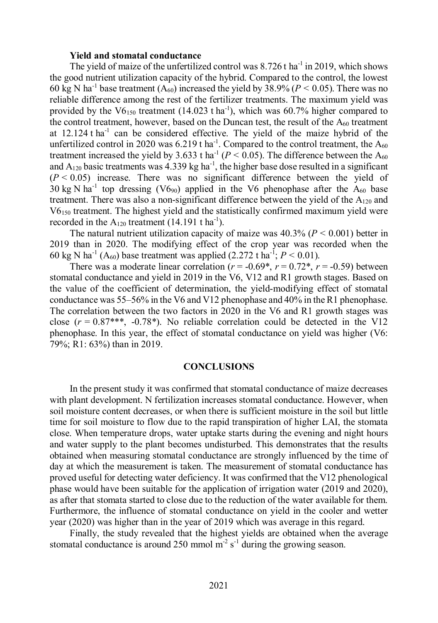#### **Yield and stomatal conductance**

The yield of maize of the unfertilized control was  $8.726$  t ha<sup>-1</sup> in 2019, which shows the good nutrient utilization capacity of the hybrid. Compared to the control, the lowest 60 kg N ha<sup>-1</sup> base treatment  $(A_{60})$  increased the yield by 38.9% ( $P < 0.05$ ). There was no reliable difference among the rest of the fertilizer treatments. The maximum yield was provided by the  $V6_{150}$  treatment (14.023 t ha<sup>-1</sup>), which was 60.7% higher compared to the control treatment, however, based on the Duncan test, the result of the  $A_{60}$  treatment at  $12.124$  t ha<sup>-1</sup> can be considered effective. The yield of the maize hybrid of the unfertilized control in 2020 was  $6.219$  t ha<sup>-1</sup>. Compared to the control treatment, the A<sub>60</sub> treatment increased the yield by 3.633 t ha<sup>-1</sup> ( $P \le 0.05$ ). The difference between the A<sub>60</sub> and  $A_{120}$  basic treatments was 4.339 kg ha<sup>-1</sup>, the higher base dose resulted in a significant  $(P < 0.05)$  increase. There was no significant difference between the yield of 30 kg N ha<sup>-1</sup> top dressing (V6<sub>90</sub>) applied in the V6 phenophase after the  $A_{60}$  base treatment. There was also a non-significant difference between the yield of the  $A_{120}$  and  $V6<sub>150</sub>$  treatment. The highest yield and the statistically confirmed maximum yield were recorded in the  $A_{120}$  treatment (14.191 t ha<sup>-1</sup>).

The natural nutrient utilization capacity of maize was  $40.3\%$  ( $P \le 0.001$ ) better in 2019 than in 2020. The modifying effect of the crop year was recorded when the 60 kg N ha<sup>-1</sup> (A<sub>60</sub>) base treatment was applied (2.272 t ha<sup>-1</sup>;  $P < 0.01$ ).

There was a moderate linear correlation ( $r = -0.69^*$ ,  $r = 0.72^*$ ,  $r = -0.59$ ) between stomatal conductance and yield in 2019 in the V6, V12 and R1 growth stages. Based on the value of the coefficient of determination, the yield-modifying effect of stomatal conductance was 55*–*56% in the V6 and V12 phenophase and 40% in the R1 phenophase. The correlation between the two factors in 2020 in the V6 and R1 growth stages was close  $(r = 0.87***, -0.78*)$ . No reliable correlation could be detected in the V12 phenophase. In this year, the effect of stomatal conductance on yield was higher (V6: 79%; R1: 63%) than in 2019.

## **CONCLUSIONS**

In the present study it was confirmed that stomatal conductance of maize decreases with plant development. N fertilization increases stomatal conductance. However, when soil moisture content decreases, or when there is sufficient moisture in the soil but little time for soil moisture to flow due to the rapid transpiration of higher LAI, the stomata close. When temperature drops, water uptake starts during the evening and night hours and water supply to the plant becomes undisturbed. This demonstrates that the results obtained when measuring stomatal conductance are strongly influenced by the time of day at which the measurement is taken. The measurement of stomatal conductance has proved useful for detecting water deficiency. It was confirmed that the V12 phenological phase would have been suitable for the application of irrigation water (2019 and 2020), as after that stomata started to close due to the reduction of the water available for them. Furthermore, the influence of stomatal conductance on yield in the cooler and wetter year (2020) was higher than in the year of 2019 which was average in this regard.

Finally, the study revealed that the highest yields are obtained when the average stomatal conductance is around 250 mmol  $m<sup>2</sup> s<sup>-1</sup>$  during the growing season.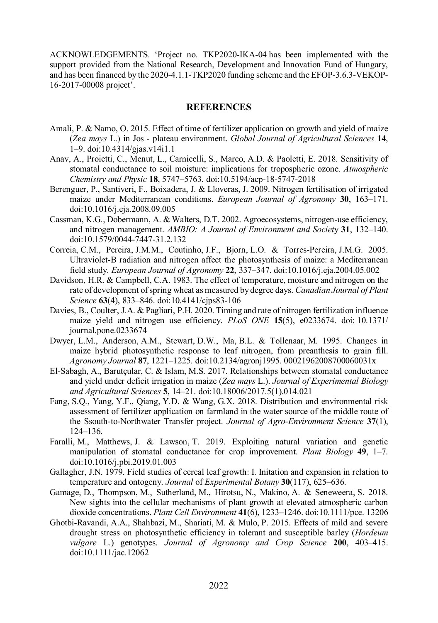ACKNOWLEDGEMENTS. 'Project no. TKP2020-IKA-04 has been implemented with the support provided from the National Research, Development and Innovation Fund of Hungary, and has been financed by the 2020-4.1.1-TKP2020 funding scheme and the EFOP-3.6.3-VEKOP-16-2017-00008 project'.

# **REFERENCES**

- Amali, P. & Namo, O. 2015. Effect of time of fertilizer application on growth and yield of maize (*Zea mays* L.) in Jos - plateau environment. *Global Journal of Agricultural Sciences* **14**, 1–9. doi:10.4314/gjas.v14i1.1
- Anav, A., Proietti, C., Menut, L., Carnicelli, S., Marco, A.D. & Paoletti, E. 2018. Sensitivity of stomatal conductance to soil moisture: implications for tropospheric ozone. *Atmospheric Chemistry and Physic* **18**, 5747–5763. doi:10.5194/acp-18-5747-2018
- Berenguer, P., Santiveri, F., Boixadera, J. & Lloveras, J. 2009. Nitrogen fertilisation of irrigated maize under Mediterranean conditions. *European Journal of Agronomy* **30**, 163–171. doi:10.1016/j.eja.2008.09.005
- Cassman, K.G., Dobermann, A. & Walters, D.T. 2002. Agroecosystems, nitrogen-use efficiency, and nitrogen management. *AMBIO: A Journal of Environment and Societ*y **31**, 132–140. doi:10.1579/0044-7447-31.2.132
- Correia, C.M., Pereira, J.M.M., Coutinho, J.F., Bjorn, L.O. & Torres-Pereira, J.M.G. 2005. Ultraviolet-B radiation and nitrogen affect the photosynthesis of maize: a Mediterranean field study. *European Journal of Agronomy* **22**, 337–347. doi:10.1016/j.eja.2004.05.002
- Davidson, H.R. & Campbell, C.A. 1983. The effect of temperature, moisture and nitrogen on the rate of development of spring wheat as measured by degree days. *Canadian Journal of Plant Science* **63**(4), 833–846. doi:10.4141/cjps83-106
- Davies, B., Coulter, J.A. & Pagliari, P.H. 2020. Timing and rate of nitrogen fertilization influence maize yield and nitrogen use efficiency. *PLoS ONE* **15**(5), e0233674. doi: 10.1371/ journal.pone.0233674
- Dwyer, L.M., Anderson, A.M., Stewart, D.W., Ma, B.L. & Tollenaar, M. 1995. Changes in maize hybrid photosynthetic response to leaf nitrogen, from preanthesis to grain fill. *Agronomy Journal* **87**, 1221–1225. doi:10.2134/agronj1995. 00021962008700060031x
- El-Sabagh, A., Barutçular, C. & Islam, M.S. 2017. Relationships between stomatal conductance and yield under deficit irrigation in maize (*Zea mays* L.). *Journal of Experimental Biology and Agricultural Sciences* **5**, 14–21. doi:10.18006/2017.5(1).014.021
- Fang, S.Q., Yang, Y.F., Qiang, Y.D. & Wang, G.X. 2018. Distribution and environmental risk assessment of fertilizer application on farmland in the water source of the middle route of the Ssouth-to-Northwater Transfer project. *Journal of Agro-Environment Science* **37**(1), 124–136.
- Faralli, M., Matthews, J. & Lawson, T. 2019. Exploiting natural variation and genetic manipulation of stomatal conductance for crop improvement. *Plant Biology* **49**, 1–7. doi:10.1016/j.pbi.2019.01.003
- Gallagher, J.N. 1979. Field studies of cereal leaf growth: I. Initation and expansion in relation to temperature and ontogeny. *Journal* of *Experimental Botany* **30**(117), 625–636.
- Gamage, D., Thompson, M., Sutherland, M., Hirotsu, N., Makino, A. & Seneweera, S. 2018. New sights into the cellular mechanisms of plant growth at elevated atmospheric carbon dioxide concentrations. *Plant Cell Environment* **41**(6), 1233–1246. doi:10.1111/pce. 13206
- Ghotbi-Ravandi, A.A., Shahbazi, M., Shariati, M. & Mulo, P. 2015. Effects of mild and severe drought stress on photosynthetic efficiency in tolerant and susceptible barley (*Hordeum vulgare* L.) genotypes. *Journal of Agronomy and Crop Science* **200**, 403–415. doi:10.1111/jac.12062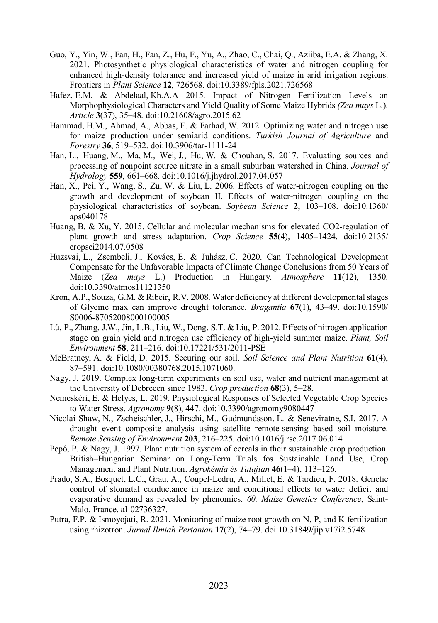- Guo, Y., Yin, W., Fan, H., Fan, Z., Hu, F., Yu, A., Zhao, C., Chai, Q., Aziiba, E.A. & Zhang, X. 2021. Photosynthetic physiological characteristics of water and nitrogen coupling for enhanced high-density tolerance and increased yield of maize in arid irrigation regions. Frontiers in *Plant Science* **12**, 726568. doi:10.3389/fpls.2021.726568
- Hafez, E.M. & Abdelaal, Kh.A.A 2015. Impact of Nitrogen Fertilization Levels on Morphophysiological Characters and Yield Quality of Some Maize Hybrids *(Zea mays* L.). *Article* **3**(37), 35–48. doi:10.21608/agro.2015.62
- Hammad, H.M., Ahmad, A., Abbas, F. & Farhad, W. 2012. Optimizing water and nitrogen use for maize production under semiarid conditions. *Turkish Journal of Agriculture* and *Forestry* **36**, 519–532. doi:10.3906/tar-1111-24
- Han, L., Huang, M., Ma, M., Wei, J., Hu, W. & Chouhan, S. 2017. Evaluating sources and processing of nonpoint source nitrate in a small suburban watershed in China. *Journal of Hydrology* **559**, 661–668. doi:10.1016/j.jhydrol.2017.04.057
- Han, X., Pei, Y., Wang, S., Zu, W. & Liu, L. 2006. Effects of water-nitrogen coupling on the growth and development of soybean II. Effects of water-nitrogen coupling on the physiological characteristics of soybean. *Soybean Science* **2**, 103–108. doi:10.1360/ aps040178
- Huang, B. & Xu, Y. 2015. Cellular and molecular mechanisms for elevated CO2-regulation of plant growth and stress adaptation. *Crop Science* **55**(4), 1405–1424. doi:10.2135/ cropsci2014.07.0508
- Huzsvai, L., Zsembeli, J., Kovács, E. & Juhász, C. 2020. Can Technological Development Compensate for the Unfavorable Impacts of Climate Change Conclusions from 50 Years of Maize (*Zea mays* L.) Production in Hungary. *Atmosphere* **11**(12), 1350. doi:10.3390/atmos11121350
- Kron, A.P., Souza, G.M. & Ribeir, R.V. 2008. Water deficiency at different developmental stages of Glycine max can improve drought tolerance. *Bragantia* **67**(1), 43–49. doi:10.1590/ S0006-87052008000100005
- Lü, P., Zhang, J.W., Jin, L.B., Liu, W., Dong, S.T. & Liu, P. 2012. Effects of nitrogen application stage on grain yield and nitrogen use efficiency of high-yield summer maize. *Plant, Soil Environment* **58**, 211–216. doi:10.17221/531/2011-PSE
- McBratney, A. & Field, D. 2015. Securing our soil. *Soil Science and Plant Nutrition* **61**(4), 87–591. doi:10.1080/00380768.2015.1071060.
- Nagy, J. 2019. Complex long-term experiments on soil use, water and nutrient management at the University of Debrecen since 1983. *Crop production* **68**(3), 5–28.
- Nemeskéri, E. & Helyes, L. 2019. Physiological Responses of Selected Vegetable Crop Species to Water Stress. *Agronomy* **9**(8), 447. doi:10.3390/agronomy9080447
- Nicolai-Shaw, N., Zscheischler, J., Hirschi, M., Gudmundsson, L. & Seneviratne, S.I. 2017. A drought event composite analysis using satellite remote-sensing based soil moisture. *Remote Sensing of Environment* **203**, 216–225. doi:10.1016/j.rse.2017.06.014
- Pepó, P. & Nagy, J. 1997. Plant nutrition system of cereals in their sustainable crop production. British–Hungarian Seminar on Long-Term Trials fos Sustainable Land Use, Crop Management and Plant Nutrition. *Agrokémia és Talajtan* **46**(1–4), 113–126.
- Prado, S.A., Bosquet, L.C., Grau, A., Coupel-Ledru, A., Millet, E. & Tardieu, F. 2018. Genetic control of stomatal conductance in maize and conditional effects to water deficit and evaporative demand as revealed by phenomics. *60. Maize Genetics Conference*, Saint-Malo, France, al-02736327.
- Putra, F.P. & Ismoyojati, R. 2021. Monitoring of maize root growth on N, P, and K fertilization using rhizotron. *Jurnal Ilmiah Pertanian* **17**(2), 74–79. doi:10.31849/jip.v17i2.5748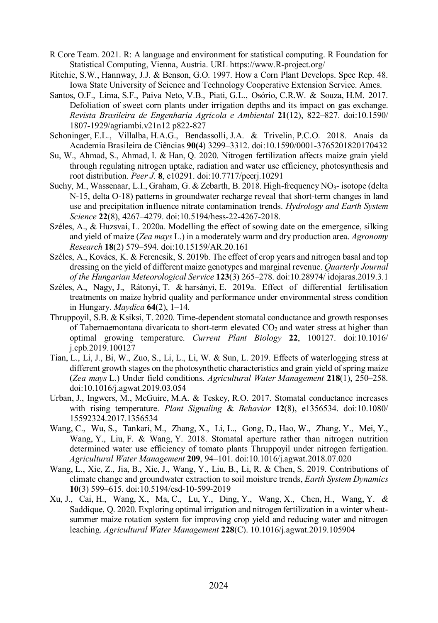- R Core Team. 2021. R: A language and environment for statistical computing. R Foundation for Statistical Computing, Vienna, Austria. URL https://www.R-project.org/
- Ritchie, S.W., Hannway, J.J. & Benson, G.O. 1997. How a Corn Plant Develops. Spec Rep. 48. Iowa State University of Science and Technology Cooperative Extension Service. Ames.
- Santos, O.F., Lima, S.F., Paiva Neto, V.B., Piati, G.L., Osório, C.R.W. & Souza, H.M. 2017. Defoliation of sweet corn plants under irrigation depths and its impact on gas exchange. *Revista Brasileira de Engenharia Agrícola e Ambiental* **21**(12), 822–827. doi:10.1590/ 1807-1929/agriambi.v21n12 p822-827
- Schoninger, E.L., Villalba, H.A.G., Bendassolli, J.A. & Trivelin, P.C.O. 2018. Anais da Academia Brasileira de Ciências **90(**4) 3299–3312. doi:10.1590/0001-3765201820170432
- Su, W., Ahmad, S., Ahmad, I. & Han, Q. 2020. Nitrogen fertilization affects maize grain yield through regulating nitrogen uptake, radiation and water use efficiency, photosynthesis and root distribution. *Peer J*. **8**, e10291. doi:10.7717/peerj.10291
- Suchy, M., Wassenaar, L.I., Graham, G. & Zebarth, B. 2018. High-frequency NO<sub>3</sub>- isotope (delta N-15, delta O-18) patterns in groundwater recharge reveal that short-term changes in land use and precipitation influence nitrate contamination trends. *Hydrology and Earth System Science* **22**(8), 4267–4279. doi:10.5194/hess-22-4267-2018.
- Széles, A., & Huzsvai, L. 2020a. Modelling the effect of sowing date on the emergence, silking and yield of maize (*Zea mays* L.) in a moderately warm and dry production area. *Agronomy Research* **18**(2) 579–594. doi:10.15159/AR.20.161
- Széles, A., Kovács, K. & Ferencsik, S. 2019b. The effect of crop years and nitrogen basal and top dressing on the yield of different maize genotypes and marginal revenue. *Quarterly Journal of the Hungarian Meteorological Service* **123**(3) 265–278. doi:10.28974/ idojaras.2019.3.1
- Széles, A., Nagy, J., Rátonyi, T. & harsányi, E. 2019a. Effect of differential fertilisation treatments on maize hybrid quality and performance under environmental stress condition in Hungary. *Maydica* **64**(2), 1–14.
- Thruppoyil, S.B. & Ksiksi, T. 2020. Time-dependent stomatal conductance and growth responses of Tabernaemontana divaricata to short-term elevated  $CO<sub>2</sub>$  and water stress at higher than optimal growing temperature. *Current Plant Biology* **22**, 100127. doi:10.1016/ j.cpb.2019.100127
- Tian, L., Li, J., Bi, W., Zuo, S., Li, L., Li, W. & Sun, L. 2019. Effects of waterlogging stress at different growth stages on the photosynthetic characteristics and grain yield of spring maize (*Zea mays* L.) Under field conditions. *Agricultural Water Management* **218**(1), 250–258. doi:10.1016/j.agwat.2019.03.054
- Urban, J., Ingwers, M., McGuire, M.A. & Teskey, R.O. 2017. Stomatal conductance increases with rising temperature. *Plant Signaling* & *Behavior* **12**(8), e1356534. doi:10.1080/ 15592324.2017.1356534
- Wang, C., Wu, S., Tankari, M., Zhang, X., Li, L., Gong, D., Hao, W., Zhang, Y., Mei, Y., Wang, Y., Liu, F. & Wang, Y. 2018. Stomatal aperture rather than nitrogen nutrition determined water use efficiency of tomato plants Thruppoyil under nitrogen fertigation. *Agricultural Water Management* **209**, 94–101. doi:10.1016/j.agwat.2018.07.020
- Wang, L., Xie, Z., Jia, B., Xie, J., Wang, Y., Liu, B., Li, R. & Chen, S. 2019. Contributions of climate change and groundwater extraction to soil moisture trends, *Earth System Dynamics* **10**(3) 599–615. doi:10.5194/esd-10-599-2019
- Xu, J., Cai, H., Wang, X., Ma, C., Lu, Y., Ding, Y., Wang, X., Chen, H., Wang, Y. *&* Saddique, Q. 2020. Exploring optimal irrigation and nitrogen fertilization in a winter wheatsummer maize rotation system for improving crop yield and reducing water and nitrogen leaching. *Agricultural Water Management* **228**(C). 10.1016/j.agwat.2019.105904